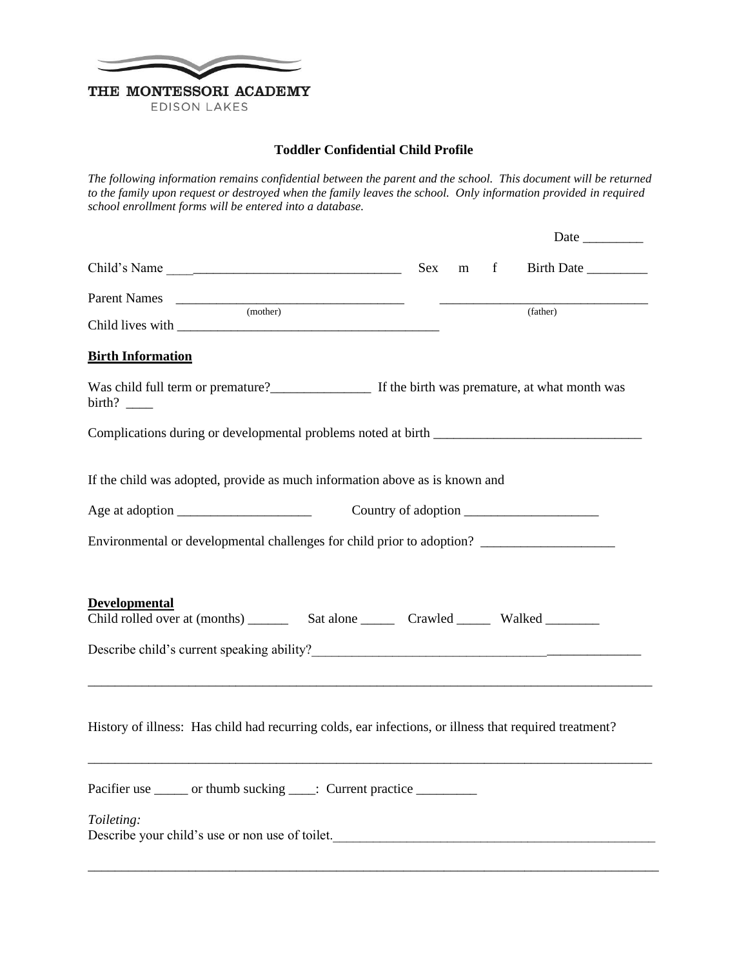

**EDISON LAKES** 

## **Toddler Confidential Child Profile**

*The following information remains confidential between the parent and the school. This document will be returned*  to the family upon request or destroyed when the family leaves the school. Only information provided in required *school enrollment forms will be entered into a database.*

|                                                                                                        | m f |          |
|--------------------------------------------------------------------------------------------------------|-----|----------|
| Parent Names<br>(mother)                                                                               |     | (father) |
| <b>Birth Information</b>                                                                               |     |          |
| Was child full term or premature?<br>If the birth was premature, at what month was                     |     |          |
| Complications during or developmental problems noted at birth ___________________                      |     |          |
| If the child was adopted, provide as much information above as is known and                            |     |          |
|                                                                                                        |     |          |
| Environmental or developmental challenges for child prior to adoption? _____________________________   |     |          |
| <b>Developmental</b>                                                                                   |     |          |
|                                                                                                        |     |          |
| History of illness: Has child had recurring colds, ear infections, or illness that required treatment? |     |          |
| Pacifier use ______ or thumb sucking ____: Current practice __________                                 |     |          |
| Toileting:<br>Describe your child's use or non use of toilet.                                          |     |          |
|                                                                                                        |     |          |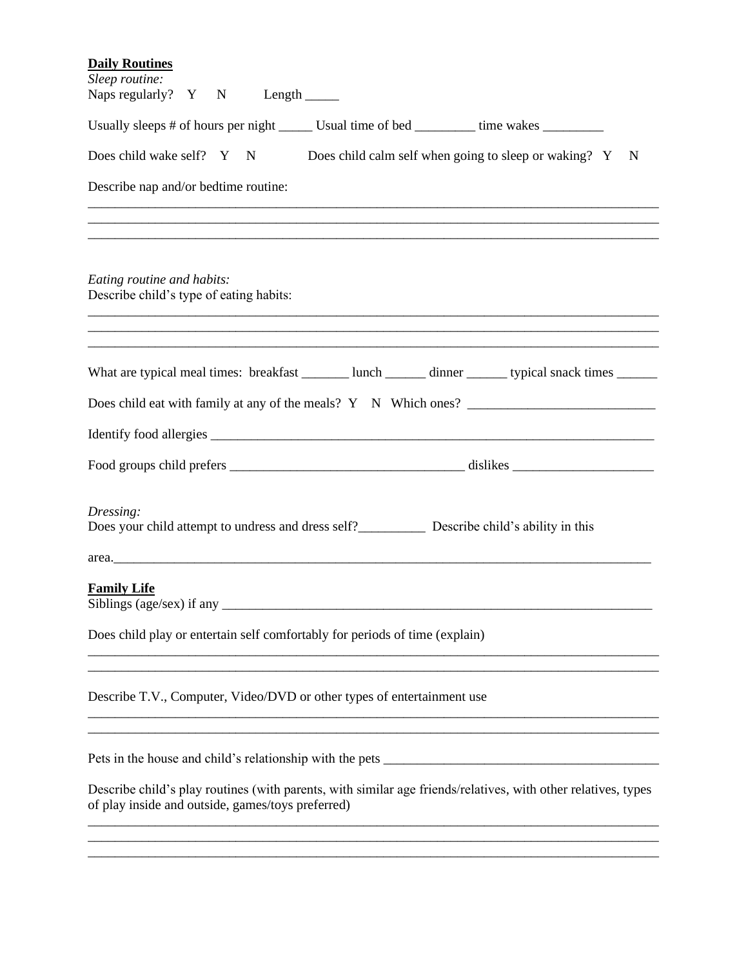| <b>Daily Routines</b>                                                                                                                                              |
|--------------------------------------------------------------------------------------------------------------------------------------------------------------------|
| Sleep routine:                                                                                                                                                     |
| Naps regularly? Y N Length _______                                                                                                                                 |
| Usually sleeps # of hours per night _______ Usual time of bed __________ time wakes _________                                                                      |
| Does child wake self? Y<br>N Does child calm self when going to sleep or waking? Y<br>$\mathbf N$                                                                  |
| Describe nap and/or bedtime routine:                                                                                                                               |
| <u> 1989 - Andrea Santana, amerikana menyebarkan banyak di sebagai banyak di sebagai banyak di sebagai banyak di</u>                                               |
| <u> 1989 - Johann Barn, amerikan bernama di sebagai bernama di sebagai bernama di sebagai bernama di sebagai bern</u>                                              |
|                                                                                                                                                                    |
| Eating routine and habits:<br>Describe child's type of eating habits:                                                                                              |
| <u> 1989 - Jan Barnett, fransk forsk politik (f. 1989)</u>                                                                                                         |
| ,我们就是一个人的人,我们就是一个人的人,我们就是一个人的人,我们就是一个人的人,我们就是一个人的人,我们就是一个人的人,我们就是一个人的人,我们就是一个人的人                                                                                   |
| What are typical meal times: breakfast _______ lunch ______ dinner ______ typical snack times ______                                                               |
|                                                                                                                                                                    |
|                                                                                                                                                                    |
|                                                                                                                                                                    |
| Dressing:<br>Does your child attempt to undress and dress self?<br><u>Describe child's ability</u> in this                                                         |
| area.                                                                                                                                                              |
| <b>Family Life</b><br>Siblings (age/sex) if any $\overline{\phantom{a}}$                                                                                           |
| Does child play or entertain self comfortably for periods of time (explain)                                                                                        |
| Describe T.V., Computer, Video/DVD or other types of entertainment use                                                                                             |
|                                                                                                                                                                    |
|                                                                                                                                                                    |
|                                                                                                                                                                    |
| Describe child's play routines (with parents, with similar age friends/relatives, with other relatives, types<br>of play inside and outside, games/toys preferred) |
|                                                                                                                                                                    |

\_\_\_\_\_\_\_\_\_\_\_\_\_\_\_\_\_\_\_\_\_\_\_\_\_\_\_\_\_\_\_\_\_\_\_\_\_\_\_\_\_\_\_\_\_\_\_\_\_\_\_\_\_\_\_\_\_\_\_\_\_\_\_\_\_\_\_\_\_\_\_\_\_\_\_\_\_\_\_\_\_\_\_\_\_